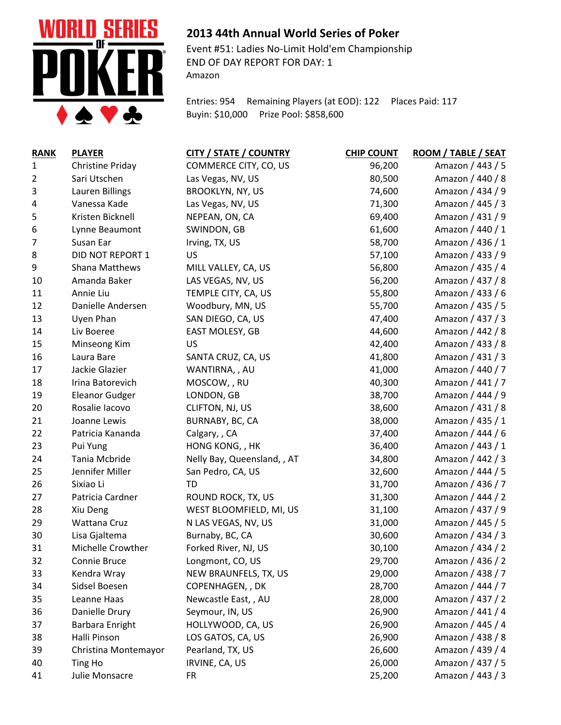

## **2013 44th Annual World Series of Poker**

Event #51: Ladies No-Limit Hold'em Championship END OF DAY REPORT FOR DAY: 1 Amazon

Entries: 954 Remaining Players (at EOD): 122 Places Paid: 117 Buyin: \$10,000 Prize Pool: \$858,600

| <b>RANK</b> | <b>PLAYER</b>           | <b>CITY / STATE / COUNTRY</b> | <b>CHIP COUNT</b> | ROOM / TABLE / SEAT |
|-------------|-------------------------|-------------------------------|-------------------|---------------------|
| 1           | <b>Christine Priday</b> | COMMERCE CITY, CO, US         | 96,200            | Amazon / 443 / 5    |
| 2           | Sari Utschen            | Las Vegas, NV, US             | 80,500            | Amazon / 440 / 8    |
| 3           | Lauren Billings         | BROOKLYN, NY, US              | 74,600            | Amazon / 434 / 9    |
| 4           | Vanessa Kade            | Las Vegas, NV, US             | 71,300            | Amazon / 445 / 3    |
| 5           | Kristen Bicknell        | NEPEAN, ON, CA                | 69,400            | Amazon / 431 / 9    |
| 6           | Lynne Beaumont          | SWINDON, GB                   | 61,600            | Amazon / 440 / 1    |
| 7           | Susan Ear               | Irving, TX, US                | 58,700            | Amazon / 436 / 1    |
| 8           | DID NOT REPORT 1        | US                            | 57,100            | Amazon / 433 / 9    |
| 9           | <b>Shana Matthews</b>   | MILL VALLEY, CA, US           | 56,800            | Amazon / 435 / 4    |
| 10          | Amanda Baker            | LAS VEGAS, NV, US             | 56,200            | Amazon / 437 / 8    |
| 11          | Annie Liu               | TEMPLE CITY, CA, US           | 55,800            | Amazon / 433 / 6    |
| 12          | Danielle Andersen       | Woodbury, MN, US              | 55,700            | Amazon / 435 / 5    |
| 13          | Uyen Phan               | SAN DIEGO, CA, US             | 47,400            | Amazon / 437 / 3    |
| 14          | Liv Boeree              | EAST MOLESY, GB               | 44,600            | Amazon / 442 / 8    |
| 15          | Minseong Kim            | US                            | 42,400            | Amazon / 433 / 8    |
| 16          | Laura Bare              | SANTA CRUZ, CA, US            | 41,800            | Amazon / 431 / 3    |
| 17          | Jackie Glazier          | WANTIRNA, , AU                | 41,000            | Amazon / 440 / 7    |
| 18          | Irina Batorevich        | MOSCOW, , RU                  | 40,300            | Amazon / 441 / 7    |
| 19          | <b>Eleanor Gudger</b>   | LONDON, GB                    | 38,700            | Amazon / 444 / 9    |
| 20          | Rosalie Iacovo          | CLIFTON, NJ, US               | 38,600            | Amazon / 431 / 8    |
| 21          | Joanne Lewis            | BURNABY, BC, CA               | 38,000            | Amazon / 435 / 1    |
| 22          | Patricia Kananda        | Calgary, , CA                 | 37,400            | Amazon / 444 / 6    |
| 23          | Pui Yung                | HONG KONG, , HK               | 36,400            | Amazon / 443 / 1    |
| 24          | Tania Mcbride           | Nelly Bay, Queensland, , AT   | 34,800            | Amazon / 442 / 3    |
| 25          | Jennifer Miller         | San Pedro, CA, US             | 32,600            | Amazon / 444 / 5    |
| 26          | Sixiao Li               | TD                            | 31,700            | Amazon / 436 / 7    |
| 27          | Patricia Cardner        | ROUND ROCK, TX, US            | 31,300            | Amazon / 444 / 2    |
| 28          | Xiu Deng                | WEST BLOOMFIELD, MI, US       | 31,100            | Amazon / 437 / 9    |
| 29          | Wattana Cruz            | N LAS VEGAS, NV, US           | 31,000            | Amazon / 445 / 5    |
| 30          | Lisa Gjaltema           | Burnaby, BC, CA               | 30,600            | Amazon / 434 / 3    |
| 31          | Michelle Crowther       | Forked River, NJ, US          | 30,100            | Amazon / 434 / 2    |
| 32          | Connie Bruce            | Longmont, CO, US              | 29,700            | Amazon / 436 / 2    |
| 33          | Kendra Wray             | NEW BRAUNFELS, TX, US         | 29,000            | Amazon / 438 / 7    |
| 34          | Sidsel Boesen           | COPENHAGEN, , DK              | 28,700            | Amazon / 444 / 7    |
| 35          | Leanne Haas             | Newcastle East, , AU          | 28,000            | Amazon / 437 / 2    |
| 36          | Danielle Drury          | Seymour, IN, US               | 26,900            | Amazon / 441 / 4    |
| 37          | Barbara Enright         | HOLLYWOOD, CA, US             | 26,900            | Amazon / 445 / 4    |
| 38          | Halli Pinson            | LOS GATOS, CA, US             | 26,900            | Amazon / 438 / 8    |
| 39          | Christina Montemayor    | Pearland, TX, US              | 26,600            | Amazon / 439 / 4    |
| 40          | Ting Ho                 | IRVINE, CA, US                | 26,000            | Amazon / 437 / 5    |
| 41          | Julie Monsacre          | <b>FR</b>                     | 25,200            | Amazon / 443 / 3    |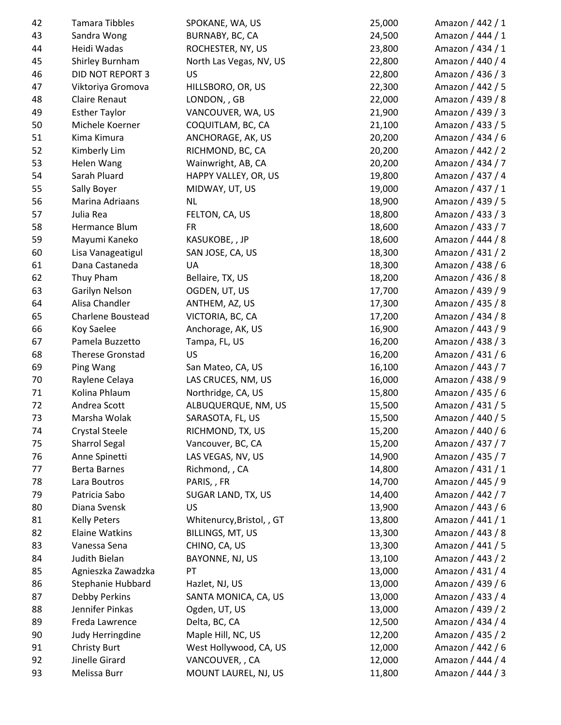| 42 | Tamara Tibbles          | SPOKANE, WA, US           | 25,000 | Amazon / 442 / 1 |
|----|-------------------------|---------------------------|--------|------------------|
| 43 | Sandra Wong             | BURNABY, BC, CA           | 24,500 | Amazon / 444 / 1 |
| 44 | Heidi Wadas             | ROCHESTER, NY, US         | 23,800 | Amazon / 434 / 1 |
| 45 | Shirley Burnham         | North Las Vegas, NV, US   | 22,800 | Amazon / 440 / 4 |
| 46 | <b>DID NOT REPORT 3</b> | <b>US</b>                 | 22,800 | Amazon / 436 / 3 |
| 47 | Viktoriya Gromova       | HILLSBORO, OR, US         | 22,300 | Amazon / 442 / 5 |
| 48 | <b>Claire Renaut</b>    | LONDON, , GB              | 22,000 | Amazon / 439 / 8 |
| 49 | <b>Esther Taylor</b>    | VANCOUVER, WA, US         | 21,900 | Amazon / 439 / 3 |
| 50 | Michele Koerner         | COQUITLAM, BC, CA         | 21,100 | Amazon / 433 / 5 |
| 51 | Kima Kimura             | ANCHORAGE, AK, US         | 20,200 | Amazon / 434 / 6 |
| 52 | Kimberly Lim            | RICHMOND, BC, CA          | 20,200 | Amazon / 442 / 2 |
| 53 | Helen Wang              | Wainwright, AB, CA        | 20,200 | Amazon / 434 / 7 |
| 54 | Sarah Pluard            | HAPPY VALLEY, OR, US      | 19,800 | Amazon / 437 / 4 |
| 55 | Sally Boyer             | MIDWAY, UT, US            | 19,000 | Amazon / 437 / 1 |
| 56 | Marina Adriaans         | <b>NL</b>                 | 18,900 | Amazon / 439 / 5 |
| 57 | Julia Rea               | FELTON, CA, US            | 18,800 | Amazon / 433 / 3 |
| 58 | Hermance Blum           | <b>FR</b>                 | 18,600 | Amazon / 433 / 7 |
| 59 | Mayumi Kaneko           | KASUKOBE, , JP            | 18,600 | Amazon / 444 / 8 |
| 60 | Lisa Vanageatigul       | SAN JOSE, CA, US          | 18,300 | Amazon / 431 / 2 |
| 61 | Dana Castaneda          | UA                        | 18,300 | Amazon / 438 / 6 |
| 62 | Thuy Pham               | Bellaire, TX, US          | 18,200 | Amazon / 436 / 8 |
| 63 | Garilyn Nelson          | OGDEN, UT, US             | 17,700 | Amazon / 439 / 9 |
| 64 | Alisa Chandler          | ANTHEM, AZ, US            | 17,300 | Amazon / 435 / 8 |
| 65 | Charlene Boustead       | VICTORIA, BC, CA          | 17,200 | Amazon / 434 / 8 |
| 66 | Koy Saelee              | Anchorage, AK, US         | 16,900 | Amazon / 443 / 9 |
| 67 | Pamela Buzzetto         | Tampa, FL, US             | 16,200 | Amazon / 438 / 3 |
| 68 | <b>Therese Gronstad</b> | US                        | 16,200 | Amazon / 431 / 6 |
| 69 | Ping Wang               | San Mateo, CA, US         | 16,100 | Amazon / 443 / 7 |
| 70 | Raylene Celaya          | LAS CRUCES, NM, US        | 16,000 | Amazon / 438 / 9 |
| 71 | Kolina Phlaum           | Northridge, CA, US        | 15,800 | Amazon / 435 / 6 |
| 72 | Andrea Scott            | ALBUQUERQUE, NM, US       | 15,500 | Amazon / 431 / 5 |
| 73 | Marsha Wolak            | SARASOTA, FL, US          | 15,500 | Amazon / 440 / 5 |
| 74 | <b>Crystal Steele</b>   | RICHMOND, TX, US          | 15,200 | Amazon / 440 / 6 |
| 75 | <b>Sharrol Segal</b>    | Vancouver, BC, CA         | 15,200 | Amazon / 437 / 7 |
| 76 | Anne Spinetti           | LAS VEGAS, NV, US         | 14,900 | Amazon / 435 / 7 |
| 77 | Berta Barnes            | Richmond, , CA            | 14,800 | Amazon / 431 / 1 |
| 78 | Lara Boutros            | PARIS, , FR               | 14,700 | Amazon / 445 / 9 |
| 79 | Patricia Sabo           | SUGAR LAND, TX, US        | 14,400 | Amazon / 442 / 7 |
|    | Diana Svensk            |                           | 13,900 | Amazon / 443 / 6 |
| 80 |                         | <b>US</b>                 |        | Amazon / 441 / 1 |
| 81 | <b>Kelly Peters</b>     | Whitenurcy, Bristol, , GT | 13,800 |                  |
| 82 | <b>Elaine Watkins</b>   | BILLINGS, MT, US          | 13,300 | Amazon / 443 / 8 |
| 83 | Vanessa Sena            | CHINO, CA, US             | 13,300 | Amazon / 441 / 5 |
| 84 | Judith Bielan           | BAYONNE, NJ, US           | 13,100 | Amazon / 443 / 2 |
| 85 | Agnieszka Zawadzka      | PT                        | 13,000 | Amazon / 431 / 4 |
| 86 | Stephanie Hubbard       | Hazlet, NJ, US            | 13,000 | Amazon / 439 / 6 |
| 87 | Debby Perkins           | SANTA MONICA, CA, US      | 13,000 | Amazon / 433 / 4 |
| 88 | Jennifer Pinkas         | Ogden, UT, US             | 13,000 | Amazon / 439 / 2 |
| 89 | Freda Lawrence          | Delta, BC, CA             | 12,500 | Amazon / 434 / 4 |
| 90 | Judy Herringdine        | Maple Hill, NC, US        | 12,200 | Amazon / 435 / 2 |
| 91 | <b>Christy Burt</b>     | West Hollywood, CA, US    | 12,000 | Amazon / 442 / 6 |
| 92 | Jinelle Girard          | VANCOUVER, , CA           | 12,000 | Amazon / 444 / 4 |
| 93 | Melissa Burr            | MOUNT LAUREL, NJ, US      | 11,800 | Amazon / 444 / 3 |